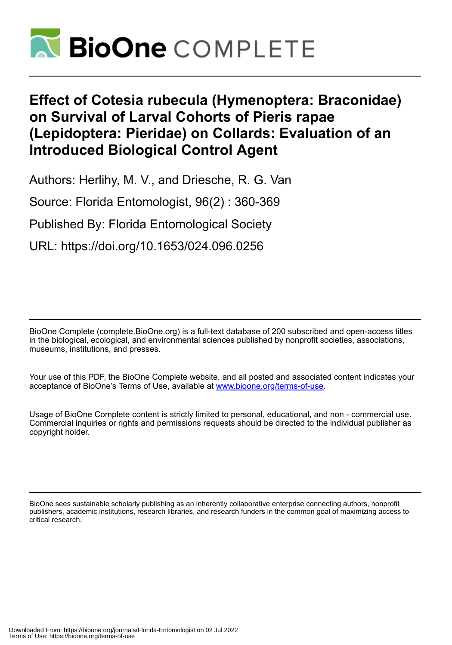

# **Effect of Cotesia rubecula (Hymenoptera: Braconidae) on Survival of Larval Cohorts of Pieris rapae (Lepidoptera: Pieridae) on Collards: Evaluation of an Introduced Biological Control Agent**

Authors: Herlihy, M. V., and Driesche, R. G. Van

Source: Florida Entomologist, 96(2) : 360-369

Published By: Florida Entomological Society

URL: https://doi.org/10.1653/024.096.0256

BioOne Complete (complete.BioOne.org) is a full-text database of 200 subscribed and open-access titles in the biological, ecological, and environmental sciences published by nonprofit societies, associations, museums, institutions, and presses.

Your use of this PDF, the BioOne Complete website, and all posted and associated content indicates your acceptance of BioOne's Terms of Use, available at www.bioone.org/terms-of-use.

Usage of BioOne Complete content is strictly limited to personal, educational, and non - commercial use. Commercial inquiries or rights and permissions requests should be directed to the individual publisher as copyright holder.

BioOne sees sustainable scholarly publishing as an inherently collaborative enterprise connecting authors, nonprofit publishers, academic institutions, research libraries, and research funders in the common goal of maximizing access to critical research.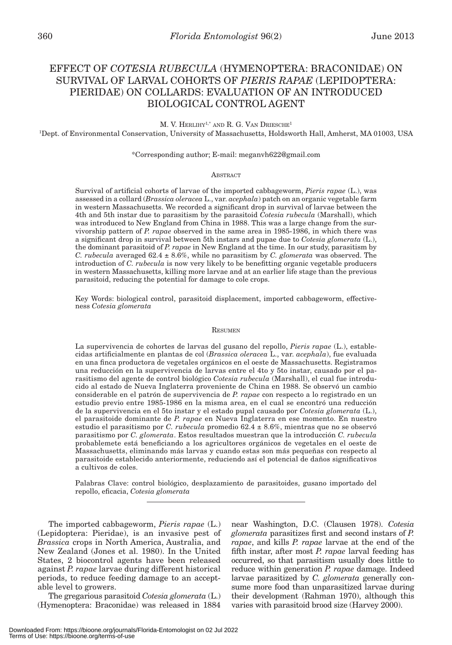## EFFECT OF *COTESIA RUBECULA* (HYMENOPTERA: BRACONIDAE) ON SURVIVAL OF LARVAL COHORTS OF *PIERIS RAPAE* (LEPIDOPTERA: PIERIDAE) ON COLLARDS: EVALUATION OF AN INTRODUCED BIOLOGICAL CONTROL AGENT

M. V. HERLIHY<sup>1,\*</sup> AND R. G. VAN DRIESCHE<sup>1</sup>

1 Dept. of Environmental Conservation, University of Massachusetts, Holdsworth Hall, Amherst, MA 01003, USA

#### \*Corresponding author; E-mail: meganvh622@gmail.com

#### **ABSTRACT**

Survival of artificial cohorts of larvae of the imported cabbageworm, *Pieris rapae* (L.), was assessed in a collard (*Brassica oleracea* L., var. *acephala*) patch on an organic vegetable farm in western Massachusetts. We recorded a significant drop in survival of larvae between the 4th and 5th instar due to parasitism by the parasitoid *Cotesia rubecula* (Marshall), which was introduced to New England from China in 1988. This was a large change from the survivorship pattern of *P. rapae* observed in the same area in 1985-1986, in which there was a significant drop in survival between 5th instars and pupae due to *Cotesia glomerata* (L.), the dominant parasitoid of *P. rapae* in New England at the time. In our study, parasitism by *C. rubecula* averaged 62.4 ± 8.6%, while no parasitism by *C. glomerata* was observed. The introduction of *C. rubecula* is now very likely to be benefitting organic vegetable producers in western Massachusetts, killing more larvae and at an earlier life stage than the previous parasitoid, reducing the potential for damage to cole crops.

Key Words: biological control, parasitoid displacement, imported cabbageworm, effectiveness *Cotesia glomerata*

#### **RESUMEN**

La supervivencia de cohortes de larvas del gusano del repollo, *Pieris rapae* (L.), establecidas artificialmente en plantas de col (*Brassica oleracea* L., var. *acephala*), fue evaluada en una finca productora de vegetales orgánicos en el oeste de Massachusetts. Registramos una reducción en la supervivencia de larvas entre el 4to y 5to instar, causado por el parasitismo del agente de control biológico *Cotesia rubecula* (Marshall), el cual fue introducido al estado de Nueva Inglaterra proveniente de China en 1988. Se observó un cambio considerable en el patrón de supervivencia de *P. rapae* con respecto a lo registrado en un estudio previo entre 1985-1986 en la misma area, en el cual se encontró una reducción de la supervivencia en el 5to instar y el estado pupal causado por *Cotesia glomerata* (L.), el parasitoide dominante de *P. rapae* en Nueva Inglaterra en ese momento. En nuestro estudio el parasitismo por *C. rubecula* promedio 62.4 ± 8.6%, mientras que no se observó parasitismo por *C. glomerata*. Estos resultados muestran que la introducción *C. rubecula* probablemete está beneficiando a los agricultores orgánicos de vegetales en el oeste de Massachusetts, eliminando más larvas y cuando estas son más pequeñas con respecto al parasitoide establecido anteriormente, reduciendo así el potencial de daños significativos a cultivos de coles.

Palabras Clave: control biológico, desplazamiento de parasitoides, gusano importado del repollo, eficacia, *Cotesia glomerata*

The imported cabbageworm, *Pieris rapae* (L.) (Lepidoptera: Pieridae), is an invasive pest of *Brassica* crops in North America, Australia, and New Zealand (Jones et al. 1980). In the United States, 2 biocontrol agents have been released against *P. rapae* larvae during different historical periods, to reduce feeding damage to an acceptable level to growers.

The gregarious parasitoid *Cotesia glomerata* (L.) (Hymenoptera: Braconidae) was released in 1884

near Washington, D.C. (Clausen 1978). *Cotesia glomerata* parasitizes first and second instars of *P. rapae*, and kills *P. rapae* larvae at the end of the fifth instar, after most *P. rapae* larval feeding has occurred, so that parasitism usually does little to reduce within generation *P. rapae* damage. Indeed larvae parasitized by *C. glomerata* generally consume more food than unparasitized larvae during their development (Rahman 1970), although this varies with parasitoid brood size (Harvey 2000).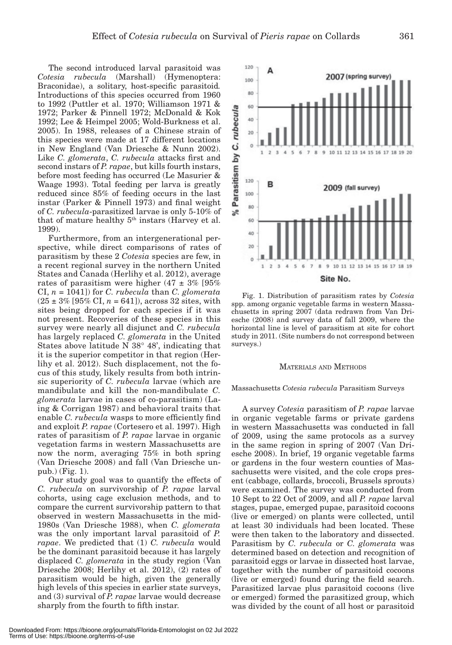The second introduced larval parasitoid was *Cotesia rubecula* (Marshall) (Hymenoptera: Braconidae), a solitary, host-specific parasitoid*.*  Introductions of this species occurred from 1960 to 1992 (Puttler et al. 1970; Williamson 1971 & 1972; Parker & Pinnell 1972; McDonald & Kok 1992; Lee & Heimpel 2005; Wold-Burkness et al. 2005). In 1988, releases of a Chinese strain of this species were made at 17 different locations in New England (Van Driesche & Nunn 2002). Like *C. glomerata*, *C. rubecula* attacks first and second instars of *P. rapae*, but kills fourth instars, before most feeding has occurred (Le Masurier & Waage 1993). Total feeding per larva is greatly reduced since 85% of feeding occurs in the last instar (Parker & Pinnell 1973) and final weight of *C. rubecula*-parasitized larvae is only 5-10% of that of mature healthy 5<sup>th</sup> instars (Harvey et al. 1999).

Furthermore, from an intergenerational perspective, while direct comparisons of rates of parasitism by these 2 *Cotesia* species are few, in a recent regional survey in the northern United States and Canada (Herlihy et al. 2012), average rates of parasitism were higher  $(47 \pm 3\%)$  [95% CI, *n* = 1041]) for *C. rubecula* than *C. glomerata*  $(25 \pm 3\%$  [95% CI,  $n = 641$ ]), across 32 sites, with sites being dropped for each species if it was not present. Recoveries of these species in this survey were nearly all disjunct and *C. rubecula* has largely replaced *C. glomerata* in the United States above latitude N 38° 48', indicating that it is the superior competitor in that region (Herlihy et al. 2012). Such displacement, not the focus of this study, likely results from both intrinsic superiority of *C. rubecula* larvae (which are mandibulate and kill the non-mandibulate *C. glomerata* larvae in cases of co-parasitism) (Laing & Corrigan 1987) and behavioral traits that enable *C. rubecula* wasps to more efficiently find and exploit *P. rapae* (Cortesero et al. 1997). High rates of parasitism of *P. rapae* larvae in organic vegetation farms in western Massachusetts are now the norm, averaging 75% in both spring (Van Driesche 2008) and fall (Van Driesche unpub.) (Fig. 1).

Our study goal was to quantify the effects of *C. rubecula* on survivorship of *P. rapae* larval cohorts, using cage exclusion methods, and to compare the current survivorship pattern to that observed in western Massachusetts in the mid-1980s (Van Driesche 1988), when *C. glomerata* was the only important larval parasitoid of *P. rapae*. We predicted that (1) *C. rubecula* would be the dominant parasitoid because it has largely displaced *C. glomerata* in the study region (Van Driesche 2008; Herlihy et al. 2012), (2) rates of parasitism would be high, given the generally high levels of this species in earlier state surveys, and (3) survival of *P. rapae* larvae would decrease sharply from the fourth to fifth instar.

40 20  $\theta$  $\overline{z}$ Site No. Fig. 1. Distribution of parasitism rates by *Cotesia* spp. among organic vegetable farms in western Massachusetts in spring 2007 (data redrawn from Van Driesche (2008) and survey data of fall 2009, where the horizontal line is level of parasitism at site for cohort study in 2011. (Site numbers do not correspond between

#### MATERIALS AND METHODS

surveys.)

#### Massachusetts *Cotesia rubecula* Parasitism Surveys

A survey *Cotesia* parasitism of *P. rapae* larvae in organic vegetable farms or private gardens in western Massachusetts was conducted in fall of 2009, using the same protocols as a survey in the same region in spring of 2007 (Van Driesche 2008). In brief, 19 organic vegetable farms or gardens in the four western counties of Massachusetts were visited, and the cole crops present (cabbage, collards, broccoli, Brussels sprouts) were examined. The survey was conducted from 10 Sept to 22 Oct of 2009, and all *P. rapae* larval stages, pupae, emerged pupae, parasitoid cocoons (live or emerged) on plants were collected, until at least 30 individuals had been located. These were then taken to the laboratory and dissected. Parasitism by *C. rubecula* or *C. glomerata* was determined based on detection and recognition of parasitoid eggs or larvae in dissected host larvae, together with the number of parasitoid cocoons (live or emerged) found during the field search. Parasitized larvae plus parasitoid cocoons (live or emerged) formed the parasitized group, which was divided by the count of all host or parasitoid

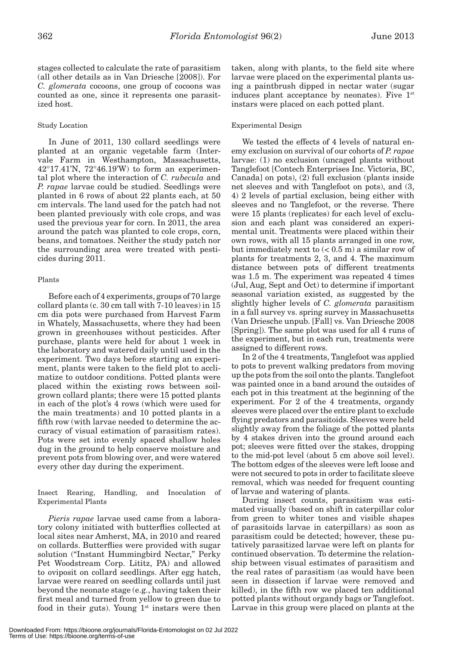stages collected to calculate the rate of parasitism (all other details as in Van Driesche [2008]). For *C. glomerata* cocoons, one group of cocoons was counted as one, since it represents one parasitized host.

## Study Location

In June of 2011, 130 collard seedlings were planted at an organic vegetable farm (Intervale Farm in Westhampton, Massachusetts,  $42^{\circ}17.41'$ N,  $72^{\circ}46.19'$ W to form an experimental plot where the interaction of *C. rubecula* and *P. rapae* larvae could be studied. Seedlings were planted in 6 rows of about 22 plants each, at 50 cm intervals. The land used for the patch had not been planted previously with cole crops, and was used the previous year for corn. In 2011, the area around the patch was planted to cole crops, corn, beans, and tomatoes. Neither the study patch nor the surrounding area were treated with pesticides during 2011.

## Plants

Before each of 4 experiments, groups of 70 large collard plants (c. 30 cm tall with 7-10 leaves) in 15 cm dia pots were purchased from Harvest Farm in Whately, Massachusetts, where they had been grown in greenhouses without pesticides. After purchase, plants were held for about 1 week in the laboratory and watered daily until used in the experiment. Two days before starting an experiment, plants were taken to the field plot to acclimatize to outdoor conditions. Potted plants were placed within the existing rows between soilgrown collard plants; there were 15 potted plants in each of the plot's 4 rows (which were used for the main treatments) and 10 potted plants in a fifth row (with larvae needed to determine the accuracy of visual estimation of parasitism rates). Pots were set into evenly spaced shallow holes dug in the ground to help conserve moisture and prevent pots from blowing over, and were watered every other day during the experiment.

Insect Rearing, Handling, and Inoculation of Experimental Plants

*Pieris rapae* larvae used came from a laboratory colony initiated with butterflies collected at local sites near Amherst, MA, in 2010 and reared on collards. Butterflies were provided with sugar solution ("Instant Hummingbird Nectar," Perky Pet Woodstream Corp. Lititz, PA) and allowed to oviposit on collard seedlings. After egg hatch, larvae were reared on seedling collards until just beyond the neonate stage (e.g., having taken their first meal and turned from yellow to green due to food in their guts). Young  $1<sup>st</sup>$  instars were then taken, along with plants, to the field site where larvae were placed on the experimental plants using a paintbrush dipped in nectar water (sugar induces plant acceptance by neonates). Five  $1<sup>st</sup>$ instars were placed on each potted plant.

## Experimental Design

We tested the effects of 4 levels of natural enemy exclusion on survival of our cohorts of *P. rapae* larvae: (1) no exclusion (uncaged plants without Tanglefoot [Contech Enterprises Inc. Victoria, BC, Canada] on pots), (2) full exclusion (plants inside net sleeves and with Tanglefoot on pots), and (3, 4) 2 levels of partial exclusion, being either with sleeves and no Tanglefoot, or the reverse. There were 15 plants (replicates) for each level of exclusion and each plant was considered an experimental unit. Treatments were placed within their own rows, with all 15 plants arranged in one row, but immediately next to  $(< 0.5$  m) a similar row of plants for treatments 2, 3, and 4. The maximum distance between pots of different treatments was 1.5 m. The experiment was repeated 4 times (Jul, Aug, Sept and Oct) to determine if important seasonal variation existed, as suggested by the slightly higher levels of *C. glomerata* parasitism in a fall survey vs. spring survey in Massachusetts (Van Driesche unpub. [Fall] vs. Van Driesche 2008 [Spring]). The same plot was used for all 4 runs of the experiment, but in each run, treatments were assigned to different rows.

In 2 of the 4 treatments, Tanglefoot was applied to pots to prevent walking predators from moving up the pots from the soil onto the plants. Tanglefoot was painted once in a band around the outsides of each pot in this treatment at the beginning of the experiment. For 2 of the 4 treatments, organdy sleeves were placed over the entire plant to exclude flying predators and parasitoids. Sleeves were held slightly away from the foliage of the potted plants by 4 stakes driven into the ground around each pot; sleeves were fitted over the stakes, dropping to the mid-pot level (about 5 cm above soil level). The bottom edges of the sleeves were left loose and were not secured to pots in order to facilitate sleeve removal, which was needed for frequent counting of larvae and watering of plants.

During insect counts, parasitism was estimated visually (based on shift in caterpillar color from green to whiter tones and visible shapes of parasitoids larvae in caterpillars) as soon as parasitism could be detected; however, these putatively parasitized larvae were left on plants for continued observation. To determine the relationship between visual estimates of parasitism and the real rates of parasitism (as would have been seen in dissection if larvae were removed and killed), in the fifth row we placed ten additional potted plants without organdy bags or Tanglefoot. Larvae in this group were placed on plants at the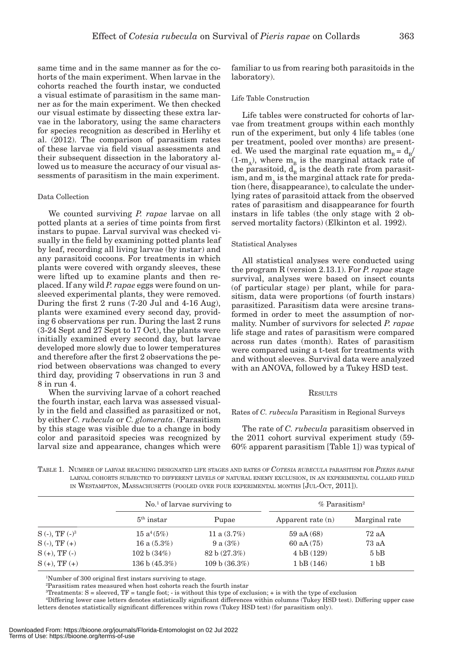same time and in the same manner as for the cohorts of the main experiment. When larvae in the cohorts reached the fourth instar, we conducted a visual estimate of parasitism in the same manner as for the main experiment. We then checked our visual estimate by dissecting these extra larvae in the laboratory, using the same characters for species recognition as described in Herlihy et al. (2012). The comparison of parasitism rates of these larvae via field visual assessments and their subsequent dissection in the laboratory allowed us to measure the accuracy of our visual assessments of parasitism in the main experiment.

#### Data Collection

We counted surviving *P. rapae* larvae on all potted plants at a series of time points from first instars to pupae. Larval survival was checked visually in the field by examining potted plants leaf by leaf, recording all living larvae (by instar) and any parasitoid cocoons. For treatments in which plants were covered with organdy sleeves, these were lifted up to examine plants and then replaced. If any wild *P. rapae* eggs were found on unsleeved experimental plants, they were removed. During the first 2 runs (7-20 Jul and 4-16 Aug), plants were examined every second day, providing 6 observations per run. During the last 2 runs (3-24 Sept and 27 Sept to 17 Oct), the plants were initially examined every second day, but larvae developed more slowly due to lower temperatures and therefore after the first 2 observations the period between observations was changed to every third day, providing 7 observations in run 3 and 8 in run 4.

When the surviving larvae of a cohort reached the fourth instar, each larva was assessed visually in the field and classified as parasitized or not, by either *C. rubecula* or *C. glomerata*. (Parasitism by this stage was visible due to a change in body color and parasitoid species was recognized by larval size and appearance, changes which were

familiar to us from rearing both parasitoids in the laboratory).

#### Life Table Construction

Life tables were constructed for cohorts of larvae from treatment groups within each monthly run of the experiment, but only 4 life tables (one per treatment, pooled over months) are presented. We used the marginal rate equation  $m_B = d_B/$  $(1-m_A)$ , where  $m_B$  is the marginal attack rate of the parasitoid,  $d_{B}$  is the death rate from parasitism, and  $m_A$  is the marginal attack rate for predation (here, disappearance), to calculate the underlying rates of parasitoid attack from the observed rates of parasitism and disappearance for fourth instars in life tables (the only stage with 2 observed mortality factors) (Elkinton et al. 1992).

#### Statistical Analyses

All statistical analyses were conducted using the program R (version 2.13.1). For *P. rapae* stage survival, analyses were based on insect counts (of particular stage) per plant, while for parasitism, data were proportions (of fourth instars) parasitized. Parasitism data were arcsine transformed in order to meet the assumption of normality. Number of survivors for selected *P. rapae* life stage and rates of parasitism were compared across run dates (month). Rates of parasitism were compared using a t-test for treatments with and without sleeves. Survival data were analyzed with an ANOVA, followed by a Tukey HSD test.

#### **RESULTS**

#### Rates of *C. rubecula* Parasitism in Regional Surveys

The rate of *C. rubecula* parasitism observed in the 2011 cohort survival experiment study (59- 60% apparent parasitism [Table 1]) was typical of

TABLE 1. NUMBER OF LARVAE REACHING DESIGNATED LIFE STAGES AND RATES OF *COTESIA RUBECULA* PARASITISM FOR *PIERIS RAPAE* LARVAL COHORTS SUBJECTED TO DIFFERENT LEVELS OF NATURAL ENEMY EXCLUSION, IN AN EXPERIMENTAL COLLARD FIELD IN WESTAMPTON, MASSACHUSETTS (POOLED OVER FOUR EXPERIMENTAL MONTHS [JUL-OCT, 2011]).

|                     | $\mathrm{No}$ <sup>1</sup> of larvae surviving to |                | $%$ Parasitism <sup>2</sup> |                 |  |
|---------------------|---------------------------------------------------|----------------|-----------------------------|-----------------|--|
|                     | $5th$ instar                                      | Pupae          | Apparent rate $(n)$         | Marginal rate   |  |
| $S(-)$ , TF $(-)^3$ | $15a^4(5%)$                                       | 11 a $(3.7\%)$ | $59$ aA $(68)$              | 72aA            |  |
| $S(-), TF(+)$       | 16 a $(5.3\%)$                                    | 9 a $(3%)$     | $60$ aA $(75)$              | 73aA            |  |
| $S (+), TF (-)$     | 102 b (34%)                                       | 82 b (27.3%)   | 4 bB (129)                  | 5 <sub>bB</sub> |  |
| $S (+), TF (+)$     | 136 b $(45.3\%)$                                  | 109 b (36.3%)  | 1 bB(146)                   | 1 <sub>bB</sub> |  |

1 Number of 300 original first instars surviving to stage.

2 Parasitism rates measured when host cohorts reach the fourth instar

Treatments:  $S =$  sleeved, TF = tangle foot;  $\cdot$  is without this type of exclusion;  $\cdot$  is with the type of exclusion

4 Differing lower case letters denotes statistically significant differences within columns (Tukey HSD test). Differing upper case letters denotes statistically significant differences within rows (Tukey HSD test) (for parasitism only).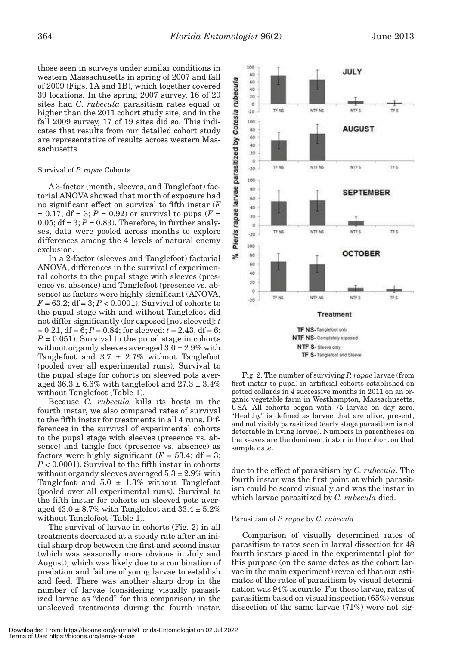those seen in surveys under similar conditions in western Massachusetts in spring of 2007 and fall of 2009 (Figs. 1A and 1B), which together covered 39 locations. In the spring 2007 survey, 16 of 20 sites had *C. rubecula* parasitism rates equal or higher than the 2011 cohort study site, and in the fall 2009 survey, 17 of 19 sites did so. This indicates that results from our detailed cohort study are representative of results across western Massachusetts.

#### Survival of *P. rapae* Cohorts

A 3-factor (month, sleeves, and Tanglefoot) factorial ANOVA showed that month of exposure had no significant effect on survival to fifth instar (*F*  $= 0.17$ ; df = 3; *P* = 0.92) or survival to pupa (*F* = 0.05;  $df = 3$ ;  $P = 0.83$ ). Therefore, in further analyses, data were pooled across months to explore differences among the 4 levels of natural enemy exclusion.

In a 2-factor (sleeves and Tanglefoot) factorial ANOVA, differences in the survival of experimental cohorts to the pupal stage with sleeves (presence vs. absence) and Tanglefoot (presence vs. absence) as factors were highly significant (ANOVA,  $F = 63.2$ ; df = 3;  $P < 0.0001$ ). Survival of cohorts to the pupal stage with and without Tanglefoot did not differ significantly (for exposed [not sleeved]: *t*   $= 0.21$ , df = 6;  $P = 0.84$ ; for sleeved:  $t = 2.43$ , df = 6;  $P = 0.051$ ). Survival to the pupal stage in cohorts without organdy sleeves averaged  $3.0 \pm 2.9\%$  with Tanglefoot and  $3.7 \pm 2.7\%$  without Tanglefoot (pooled over all experimental runs). Survival to the pupal stage for cohorts on sleeved pots averaged  $36.3 \pm 6.6\%$  with tanglefoot and  $27.3 \pm 3.4\%$ without Tanglefoot (Table 1).

Because *C. rubecula* kills its hosts in the fourth instar, we also compared rates of survival to the fifth instar for treatments in all 4 runs. Differences in the survival of experimental cohorts to the pupal stage with sleeves (presence vs. absence) and tangle foot (presence vs. absence) as factors were highly significant  $(F = 53.4; df = 3;$  $P < 0.0001$ ). Survival to the fifth instar in cohorts without organdy sleeves averaged  $5.3 \pm 2.9\%$  with Tanglefoot and  $5.0 \pm 1.3\%$  without Tanglefoot (pooled over all experimental runs). Survival to the fifth instar for cohorts on sleeved pots averaged  $43.0 \pm 8.7\%$  with Tanglefoot and  $33.4 \pm 5.2\%$ without Tanglefoot (Table 1).

The survival of larvae in cohorts (Fig. 2) in all treatments decreased at a steady rate after an initial sharp drop between the first and second instar (which was seasonally more obvious in July and August), which was likely due to a combination of predation and failure of young larvae to establish and feed. There was another sharp drop in the number of larvae (considering visually parasitized larvae as "dead" for this comparison) in the unsleeved treatments during the fourth instar,



TF S- Tanglefoot and Sleeve

Fig. 2. The number of surviving *P. rapae* larvae (from first instar to pupa) in artificial cohorts established on potted collards in 4 successive months in 2011 on an organic vegetable farm in Westhampton, Massachusetts, USA. All cohorts began with 75 larvae on day zero. "Healthy" is defined as larvae that are alive, present, and not visibly parasitized (early stage parasitism is not detectable in living larvae). Numbers in parentheses on the x-axes are the dominant instar in the cohort on that sample date.

due to the effect of parasitism by *C. rubecula*. The fourth instar was the first point at which parasitism could be scored visually and was the instar in which larvae parasitized by *C. rubecula* died.

#### Parasitism of *P. rapae* by *C. rubecula*

Comparison of visually determined rates of parasitism to rates seen in larval dissection for 48 fourth instars placed in the experimental plot for this purpose (on the same dates as the cohort larvae in the main experiment) revealed that our estimates of the rates of parasitism by visual determination was 94% accurate. For these larvae, rates of parasitism based on visual inspection (65%) versus dissection of the same larvae (71%) were not sig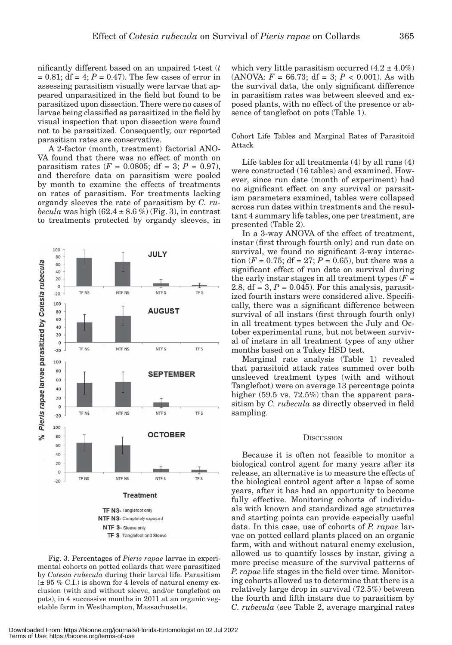nificantly different based on an unpaired t-test (*t*  $= 0.81$ ; df  $= 4$ ;  $P = 0.47$ ). The few cases of error in assessing parasitism visually were larvae that appeared unparasitized in the field but found to be parasitized upon dissection. There were no cases of larvae being classified as parasitized in the field by visual inspection that upon dissection were found not to be parasitized. Consequently, our reported parasitism rates are conservative.

A 2-factor (month, treatment) factorial ANO-VA found that there was no effect of month on parasitism rates ( $F = 0.0805$ ; df = 3;  $P = 0.97$ ), and therefore data on parasitism were pooled by month to examine the effects of treatments on rates of parasitism. For treatments lacking organdy sleeves the rate of parasitism by *C. rubecula* was high  $(62.4 \pm 8.6\%)$  (Fig. 3), in contrast to treatments protected by organdy sleeves, in



which very little parasitism occurred  $(4.2 \pm 4.0\%)$ (ANOVA:  $F = 66.73$ ; df = 3;  $P < 0.001$ ). As with the survival data, the only significant difference in parasitism rates was between sleeved and exposed plants, with no effect of the presence or absence of tanglefoot on pots (Table 1).

Cohort Life Tables and Marginal Rates of Parasitoid Attack

Life tables for all treatments (4) by all runs (4) were constructed (16 tables) and examined. However, since run date (month of experiment) had no significant effect on any survival or parasitism parameters examined, tables were collapsed across run dates within treatments and the resultant 4 summary life tables, one per treatment, are presented (Table 2).

In a 3-way ANOVA of the effect of treatment, instar (first through fourth only) and run date on survival, we found no significant 3-way interaction ( $F = 0.75$ ; df = 27;  $P = 0.65$ ), but there was a significant effect of run date on survival during the early instar stages in all treatment types  $(F =$ 2.8,  $df = 3$ ,  $P = 0.045$ ). For this analysis, parasitized fourth instars were considered alive. Specifically, there was a significant difference between survival of all instars (first through fourth only) in all treatment types between the July and October experimental runs, but not between survival of instars in all treatment types of any other months based on a Tukey HSD test.

Marginal rate analysis (Table 1) revealed that parasitoid attack rates summed over both unsleeved treatment types (with and without Tanglefoot) were on average 13 percentage points higher (59.5 vs. 72.5%) than the apparent parasitism by *C. rubecula* as directly observed in field sampling.

#### **DISCUSSION**

Because it is often not feasible to monitor a biological control agent for many years after its release, an alternative is to measure the effects of the biological control agent after a lapse of some years, after it has had an opportunity to become fully effective. Monitoring cohorts of individuals with known and standardized age structures and starting points can provide especially useful data. In this case, use of cohorts of *P. rapae* larvae on potted collard plants placed on an organic farm, with and without natural enemy exclusion, allowed us to quantify losses by instar, giving a more precise measure of the survival patterns of *P. rapae* life stages in the field over time. Monitoring cohorts allowed us to determine that there is a relatively large drop in survival (72.5%) between the fourth and fifth instars due to parasitism by *C. rubecula* (see Table 2, average marginal rates

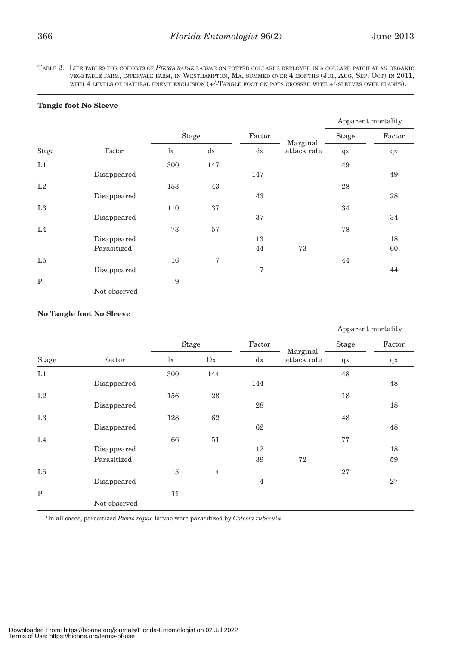TABLE 2. LIFE TABLES FOR COHORTS OF *PIERIS RAPAE* LARVAE ON POTTED COLLARDS DEPLOYED IN <sup>A</sup> COLLARD PATCH AT AN ORGANIC VEGETABLE FARM, INTERVALE FARM, IN WESTHAMPTON, MA, SUMMED OVER 4 MONTHS (JUL, AUG, SEP, OCT) IN 2011, WITH 4 LEVELS OF NATURAL ENEMY EXCLUSION (+/-TANGLE FOOT ON POTS CROSSED WITH +/-SLEEVES OVER PLANTS).

|              |                          |              |     |        |                         | Apparent mortality |        |
|--------------|--------------------------|--------------|-----|--------|-------------------------|--------------------|--------|
|              |                          | <b>Stage</b> |     | Factor |                         | <b>Stage</b>       | Factor |
| Stage        | Factor                   | $\mathbf{I}$ | dx  | dx     | Marginal<br>attack rate | qX                 | $q$ x  |
| L1           |                          | 300          | 147 |        |                         | 49                 |        |
|              | Disappeared              |              |     | 147    |                         |                    | 49     |
| L2           |                          | 153          | 43  |        |                         | 28                 |        |
|              | Disappeared              |              |     | 43     |                         |                    | 28     |
| L3           |                          | 110          | 37  |        |                         | 34                 |        |
|              | Disappeared              |              |     | 37     |                         |                    | 34     |
| L4           |                          | 73           | 57  |        |                         | 78                 |        |
|              | Disappeared              |              |     | 13     |                         |                    | 18     |
|              | Parasitized <sup>1</sup> |              |     | 44     | 73                      |                    | 60     |
| L5           |                          | 16           | 7   |        |                         | 44                 |        |
|              | Disappeared              |              |     | 7      |                         |                    | 44     |
| $\mathbf{P}$ |                          | 9            |     |        |                         |                    |        |
|              | Not observed             |              |     |        |                         |                    |        |

## **Tangle foot No Sleeve**

## **No Tangle foot No Sleeve**

|                |                          |              |                |                |                         | Apparent mortality |        |
|----------------|--------------------------|--------------|----------------|----------------|-------------------------|--------------------|--------|
|                |                          | <b>Stage</b> |                | Factor         |                         | Stage              | Factor |
| <b>Stage</b>   | Factor                   | $\mathbf{I}$ | D <sub>X</sub> | dx             | Marginal<br>attack rate | $q$ x              | $q$ x  |
| L1             |                          | 300          | 144            |                |                         | 48                 |        |
|                | Disappeared              |              |                | 144            |                         |                    | 48     |
| L2             |                          | 156          | 28             |                |                         | 18                 |        |
|                | Disappeared              |              |                | 28             |                         |                    | 18     |
| L3             |                          | 128          | 62             |                |                         | 48                 |        |
|                | Disappeared              |              |                | 62             |                         |                    | 48     |
| L <sub>4</sub> |                          | 66           | 51             |                |                         | 77                 |        |
|                | Disappeared              |              |                | 12             |                         |                    | 18     |
|                | Parasitized <sup>1</sup> |              |                | 39             | 72                      |                    | 59     |
| L5             |                          | 15           | $\overline{4}$ |                |                         | 27                 |        |
|                | Disappeared              |              |                | $\overline{4}$ |                         |                    | 27     |
| $\mathbf{P}$   |                          | 11           |                |                |                         |                    |        |
|                | Not observed             |              |                |                |                         |                    |        |

1 In all cases, parasitized *Pieris rapae* larvae were parasitized by *Cotesia rubecula*.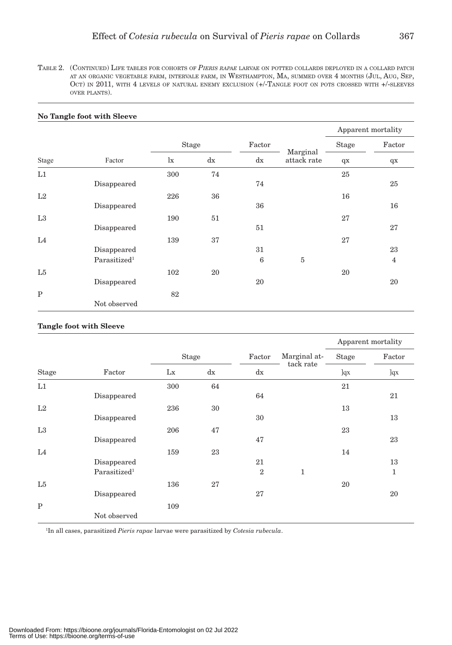TABLE 2. (CONTINUED) LIFE TABLES FOR COHORTS OF *PIERIS RAPAE* LARVAE ON POTTED COLLARDS DEPLOYED IN <sup>A</sup> COLLARD PATCH AT AN ORGANIC VEGETABLE FARM, INTERVALE FARM, IN WESTHAMPTON, MA, SUMMED OVER 4 MONTHS (JUL, AUG, SEP, OCT) IN 2011, WITH 4 LEVELS OF NATURAL ENEMY EXCLUSION (+/-TANGLE FOOT ON POTS CROSSED WITH +/-SLEEVES OVER PLANTS).

|                |                          |              |    |        |                         | Apparent mortality |                |
|----------------|--------------------------|--------------|----|--------|-------------------------|--------------------|----------------|
|                |                          | Stage        |    | Factor |                         | Stage              | Factor         |
| Stage          | Factor                   | $\mathbf{I}$ | dx | dx     | Marginal<br>attack rate | $q$ x              | $q$ x          |
| L1             |                          | 300          | 74 |        |                         | 25                 |                |
|                | Disappeared              |              |    | 74     |                         |                    | 25             |
| L2             |                          | 226          | 36 |        |                         | 16                 |                |
|                | Disappeared              |              |    | 36     |                         |                    | 16             |
| L3             |                          | 190          | 51 |        |                         | 27                 |                |
|                | Disappeared              |              |    | 51     |                         |                    | 27             |
| L4             |                          | 139          | 37 |        |                         | 27                 |                |
|                | Disappeared              |              |    | 31     |                         |                    | 23             |
|                | Parasitized <sup>1</sup> |              |    | 6      | $\overline{5}$          |                    | $\overline{4}$ |
| L <sub>5</sub> |                          | 102          | 20 |        |                         | 20                 |                |
|                | Disappeared              |              |    | 20     |                         |                    | 20             |
| $\mathbf P$    |                          | 82           |    |        |                         |                    |                |
|                | Not observed             |              |    |        |                         |                    |                |

#### **No Tangle foot with Sleeve**

### **Tangle foot with Sleeve**

| Stage       | Factor                   |              |    |                |              | Apparent mortality |        |
|-------------|--------------------------|--------------|----|----------------|--------------|--------------------|--------|
|             |                          | <b>Stage</b> |    | Factor         | Marginal at- | Stage              | Factor |
|             |                          | Lx           | dx | dx             | tack rate    | ]qx                | ]qx    |
| L1          |                          | 300          | 64 |                |              | 21                 |        |
|             | Disappeared              |              |    | 64             |              |                    | 21     |
| L2          |                          | 236          | 30 |                |              | 13                 |        |
|             | Disappeared              |              |    | 30             |              |                    | 13     |
| L3          |                          | 206          | 47 |                |              | 23                 |        |
|             | Disappeared              |              |    | 47             |              |                    | 23     |
| L4          |                          | 159          | 23 |                |              | 14                 |        |
|             | Disappeared              |              |    | 21             |              |                    | 13     |
|             | Parasitized <sup>1</sup> |              |    | $\overline{2}$ | 1            |                    | 1      |
| L5          |                          | 136          | 27 |                |              | 20                 |        |
|             | Disappeared              |              |    | 27             |              |                    | 20     |
| $\mathbf P$ |                          | 109          |    |                |              |                    |        |
|             | Not observed             |              |    |                |              |                    |        |

1 In all cases, parasitized *Pieris rapae* larvae were parasitized by *Cotesia rubecula*.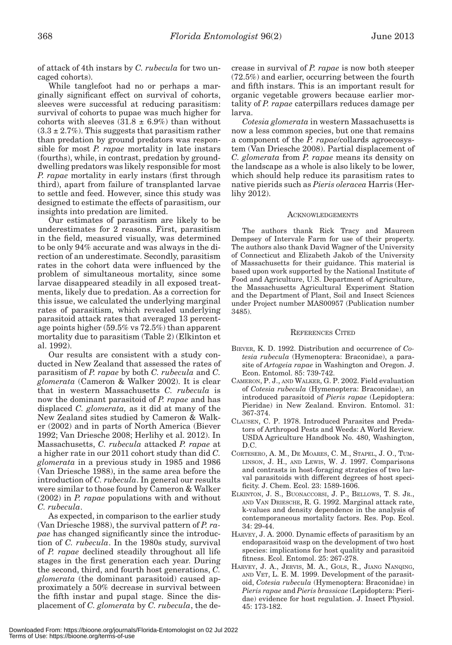of attack of 4th instars by *C. rubecula* for two uncaged cohorts).

While tanglefoot had no or perhaps a marginally significant effect on survival of cohorts, sleeves were successful at reducing parasitism: survival of cohorts to pupae was much higher for cohorts with sleeves  $(31.8 \pm 6.9%)$  than without  $(3.3 \pm 2.7\%)$ . This suggests that parasitism rather than predation by ground predators was responsible for most *P. rapae* mortality in late instars (fourths), while, in contrast, predation by grounddwelling predators was likely responsible for most *P. rapae* mortality in early instars (first through third), apart from failure of transplanted larvae to settle and feed. However, since this study was designed to estimate the effects of parasitism, our insights into predation are limited.

Our estimates of parasitism are likely to be underestimates for 2 reasons. First, parasitism in the field, measured visually, was determined to be only 94% accurate and was always in the direction of an underestimate. Secondly, parasitism rates in the cohort data were influenced by the problem of simultaneous mortality, since some larvae disappeared steadily in all exposed treatments, likely due to predation. As a correction for this issue, we calculated the underlying marginal rates of parasitism, which revealed underlying parasitoid attack rates that averaged 13 percentage points higher (59.5% vs 72.5%) than apparent mortality due to parasitism (Table 2) (Elkinton et al. 1992).

Our results are consistent with a study conducted in New Zealand that assessed the rates of parasitism of *P. rapae* by both *C. rubecula* and *C. glomerata* (Cameron & Walker 2002). It is clear that in western Massachusetts *C. rubecula* is now the dominant parasitoid of *P. rapae* and has displaced *C. glomerata,* as it did at many of the New Zealand sites studied by Cameron & Walker (2002) and in parts of North America (Biever 1992; Van Driesche 2008; Herlihy et al. 2012). In Massachusetts, *C. rubecula* attacked *P. rapae* at a higher rate in our 2011 cohort study than did *C. glomerata* in a previous study in 1985 and 1986 (Van Driesche 1988), in the same area before the introduction of *C. rubecula*. In general our results were similar to those found by Cameron & Walker (2002) in *P. rapae* populations with and without *C. rubecula*.

As expected, in comparison to the earlier study (Van Driesche 1988), the survival pattern of *P. rapae* has changed significantly since the introduction of *C. rubecula*. In the 1980s study, survival of *P. rapae* declined steadily throughout all life stages in the first generation each year. During the second, third, and fourth host generations, *C. glomerata* (the dominant parasitoid) caused approximately a 50% decrease in survival between the fifth instar and pupal stage. Since the displacement of *C. glomerata* by *C. rubecula*, the decrease in survival of *P. rapae* is now both steeper (72.5%) and earlier, occurring between the fourth and fifth instars. This is an important result for organic vegetable growers because earlier mortality of *P. rapae* caterpillars reduces damage per larva.

*Cotesia glomerata* in western Massachusetts is now a less common species, but one that remains a component of the *P. rapae*/collards agroecosystem (Van Driesche 2008). Partial displacement of *C. glomerata* from *P. rapae* means its density on the landscape as a whole is also likely to be lower, which should help reduce its parasitism rates to native pierids such as *Pieris oleracea* Harris (Herlihy 2012).

#### **ACKNOWLEDGEMENTS**

The authors thank Rick Tracy and Maureen Dempsey of Intervale Farm for use of their property. The authors also thank David Wagner of the University of Connecticut and Elizabeth Jakob of the University of Massachusetts for their guidance. This material is based upon work supported by the National Institute of Food and Agriculture, U.S. Department of Agriculture, the Massachusetts Agricultural Experiment Station and the Department of Plant, Soil and Insect Sciences under Project number MAS00957 (Publication number 3485).

#### REFERENCES CITED

- BIEVER, K. D. 1992. Distribution and occurrence of *Cotesia rubecula* (Hymenoptera: Braconidae), a parasite of *Artogeia rapae* in Washington and Oregon. J. Econ. Entomol. 85: 739-742.
- CAMERON, P. J., AND WALKER, G. P. 2002. Field evaluation of *Cotesia rubecula* (Hymenoptera: Braconidae), an introduced parasitoid of *Pieris rapae* (Lepidoptera: Pieridae) in New Zealand. Environ. Entomol. 31: 367-374.
- CLAUSEN, C. P. 1978. Introduced Parasites and Predators of Arthropod Pests and Weeds: A World Review. USDA Agriculture Handbook No. 480, Washington, D.C.
- CORTESERO, A. M., DE MOARES, C. M., STAPEL, J. O., TUM-LINSON, J. H., AND LEWIS, W. J. 1997. Comparisons and contrasts in host-foraging strategies of two larval parasitoids with different degrees of host specificity. J. Chem. Ecol. 23: 1589-1606.
- ELKINTON, J. S., BUONACCORSI, J. P., BELLOWS, T. S. JR., AND VAN DRIESCHE, R. G. 1992. Marginal attack rate, k-values and density dependence in the analysis of contemporaneous mortality factors. Res. Pop. Ecol. 34: 29-44.
- HARVEY, J. A. 2000. Dynamic effects of parasitism by an endoparasitoid wasp on the development of two host species: implications for host quality and parasitoid fitness. Ecol. Entomol. 25: 267-278.
- HARVEY, J. A., JERVIS, M. A., GOLS, R., JIANG NANQING, AND VET, L. E. M. 1999. Development of the parasitoid, *Cotesia rubecula* (Hymenoptera: Braconidae) in *Pieris rapae* and *Pieris brassicae* (Lepidoptera: Pieridae) evidence for host regulation. J. Insect Physiol. 45: 173-182.